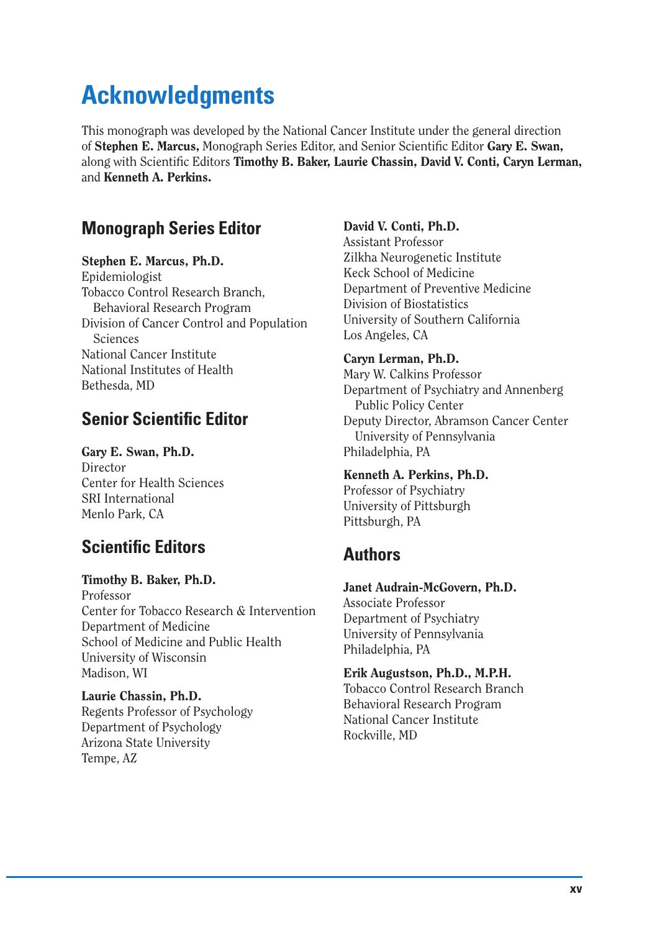# **Acknowledgments**

This monograph was developed by the National Cancer Institute under the general direction of **Stephen E. Marcus,** Monograph Series Editor, and Senior Scientific Editor Gary E. Swan, along with Scientific Editors **Timothy B. Baker, Laurie Chassin, David V. Conti, Caryn Lerman,** and **Kenneth A. Perkins.** 

# **Monograph Series Editor**

#### **Stephen E. Marcus, Ph.D.**

Epidemiologist Tobacco Control Research Branch, Behavioral Research Program Division of Cancer Control and Population Sciences National Cancer Institute National Institutes of Health Bethesda, MD

# **Senior Scientific Editor**

**Gary E. Swan, Ph.D.**  Director Center for Health Sciences SRI International Menlo Park, CA

# **Scientific Editors**

**Timothy B. Baker, Ph.D.**  Professor Center for Tobacco Research & Intervention Department of Medicine School of Medicine and Public Health University of Wisconsin Madison, WI

**Laurie Chassin, Ph.D.**  Regents Professor of Psychology Department of Psychology Arizona State University Tempe, AZ

### **David V. Conti, Ph.D.**

Assistant Professor Zilkha Neurogenetic Institute Keck School of Medicine Department of Preventive Medicine Division of Biostatistics University of Southern California Los Angeles, CA

#### **Caryn Lerman, Ph.D.**

Mary W. Calkins Professor Department of Psychiatry and Annenberg Public Policy Center Deputy Director, Abramson Cancer Center University of Pennsylvania Philadelphia, PA

# **Kenneth A. Perkins, Ph.D.**

Professor of Psychiatry University of Pittsburgh Pittsburgh, PA

# **Authors**

# **Janet Audrain-McGovern, Ph.D.**

Associate Professor Department of Psychiatry University of Pennsylvania Philadelphia, PA

#### **Erik Augustson, Ph.D., M.P.H.**

Tobacco Control Research Branch Behavioral Research Program National Cancer Institute Rockville, MD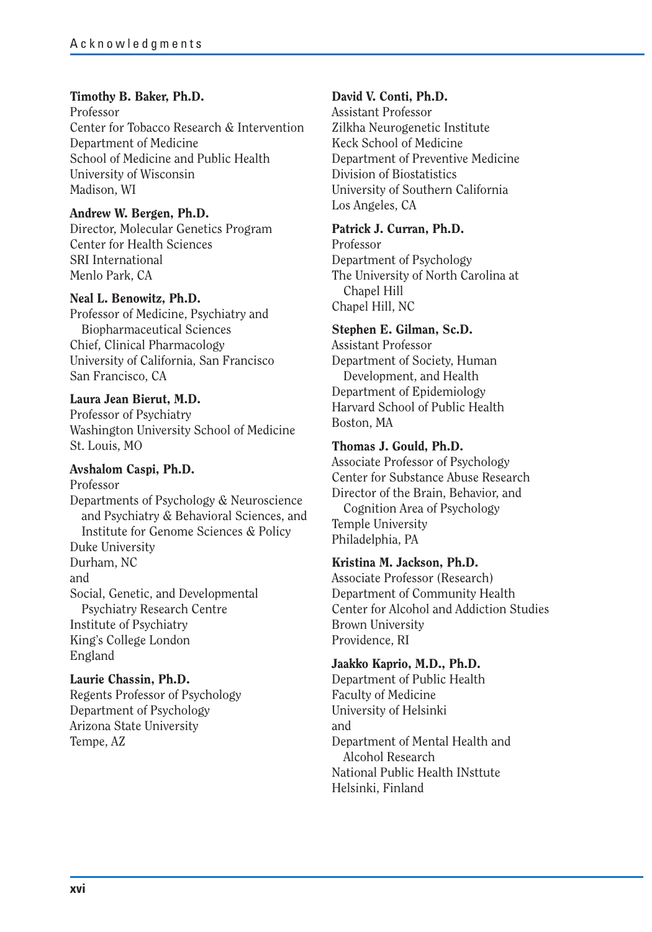#### **Timothy B. Baker, Ph.D.**

Professor Center for Tobacco Research & Intervention Department of Medicine School of Medicine and Public Health University of Wisconsin Madison, WI

#### **Andrew W. Bergen, Ph.D.**

Director, Molecular Genetics Program Center for Health Sciences SRI International Menlo Park, CA

#### **Neal L. Benowitz, Ph.D.**

Professor of Medicine, Psychiatry and Biopharmaceutical Sciences Chief, Clinical Pharmacology University of California, San Francisco San Francisco, CA

#### **Laura Jean Bierut, M.D.**

Professor of Psychiatry Washington University School of Medicine St. Louis, MO

#### **Avshalom Caspi, Ph.D.**

Professor Departments of Psychology & Neuroscience and Psychiatry & Behavioral Sciences, and Institute for Genome Sciences & Policy Duke University Durham, NC and Social, Genetic, and Developmental Psychiatry Research Centre Institute of Psychiatry King's College London England

#### **Laurie Chassin, Ph.D.**

Regents Professor of Psychology Department of Psychology Arizona State University Tempe, AZ

#### **David V. Conti, Ph.D.**

Assistant Professor Zilkha Neurogenetic Institute Keck School of Medicine Department of Preventive Medicine Division of Biostatistics University of Southern California Los Angeles, CA

#### **Patrick J. Curran, Ph.D.**

Professor Department of Psychology The University of North Carolina at Chapel Hill Chapel Hill, NC

#### **Stephen E. Gilman, Sc.D.**

Assistant Professor Department of Society, Human Development, and Health Department of Epidemiology Harvard School of Public Health Boston, MA

#### **Thomas J. Gould, Ph.D.**

Associate Professor of Psychology Center for Substance Abuse Research Director of the Brain, Behavior, and Cognition Area of Psychology Temple University Philadelphia, PA

#### **Kristina M. Jackson, Ph.D.**

Associate Professor (Research) Department of Community Health Center for Alcohol and Addiction Studies Brown University Providence, RI

#### **Jaakko Kaprio, M.D., Ph.D.**

Department of Public Health Faculty of Medicine University of Helsinki and Department of Mental Health and Alcohol Research National Public Health INsttute Helsinki, Finland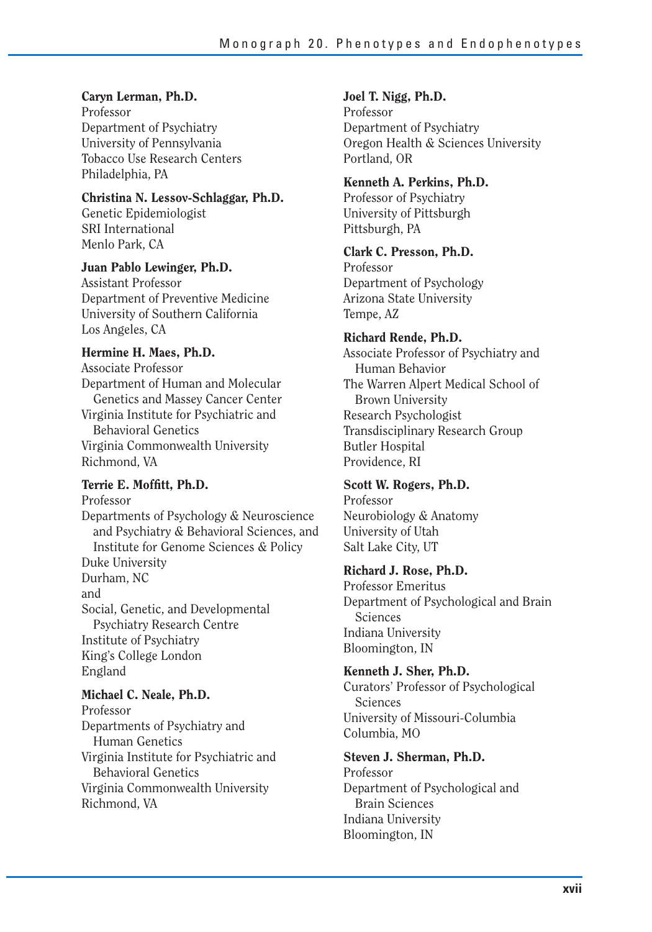#### **Caryn Lerman, Ph.D.**

Professor Department of Psychiatry University of Pennsylvania Tobacco Use Research Centers Philadelphia, PA

#### **Christina N. Lessov-Schlaggar, Ph.D.**

Genetic Epidemiologist SRI International Menlo Park, CA

#### **Juan Pablo Lewinger, Ph.D.**

Assistant Professor Department of Preventive Medicine University of Southern California Los Angeles, CA

#### **Hermine H. Maes, Ph.D.**

Associate Professor Department of Human and Molecular Genetics and Massey Cancer Center Virginia Institute for Psychiatric and Behavioral Genetics Virginia Commonwealth University Richmond, VA

# Terrie E. Moffitt, Ph.D.

Professor Departments of Psychology & Neuroscience and Psychiatry & Behavioral Sciences, and Institute for Genome Sciences & Policy Duke University Durham, NC and Social, Genetic, and Developmental Psychiatry Research Centre Institute of Psychiatry King's College London England

**Michael C. Neale, Ph.D.**  Professor Departments of Psychiatry and Human Genetics Virginia Institute for Psychiatric and

Behavioral Genetics Virginia Commonwealth University Richmond, VA

#### **Joel T. Nigg, Ph.D.**

Professor Department of Psychiatry Oregon Health & Sciences University Portland, OR

### **Kenneth A. Perkins, Ph.D.**

Professor of Psychiatry University of Pittsburgh Pittsburgh, PA

#### **Clark C. Presson, Ph.D.**

Professor Department of Psychology Arizona State University Tempe, AZ

#### **Richard Rende, Ph.D.**

Associate Professor of Psychiatry and Human Behavior The Warren Alpert Medical School of Brown University Research Psychologist Transdisciplinary Research Group Butler Hospital Providence, RI

#### **Scott W. Rogers, Ph.D.**

Professor Neurobiology & Anatomy University of Utah Salt Lake City, UT

#### **Richard J. Rose, Ph.D.**

Professor Emeritus Department of Psychological and Brain Sciences Indiana University Bloomington, IN

#### **Kenneth J. Sher, Ph.D.**

Curators' Professor of Psychological Sciences University of Missouri-Columbia Columbia, MO

#### **Steven J. Sherman, Ph.D.**

Professor Department of Psychological and Brain Sciences Indiana University Bloomington, IN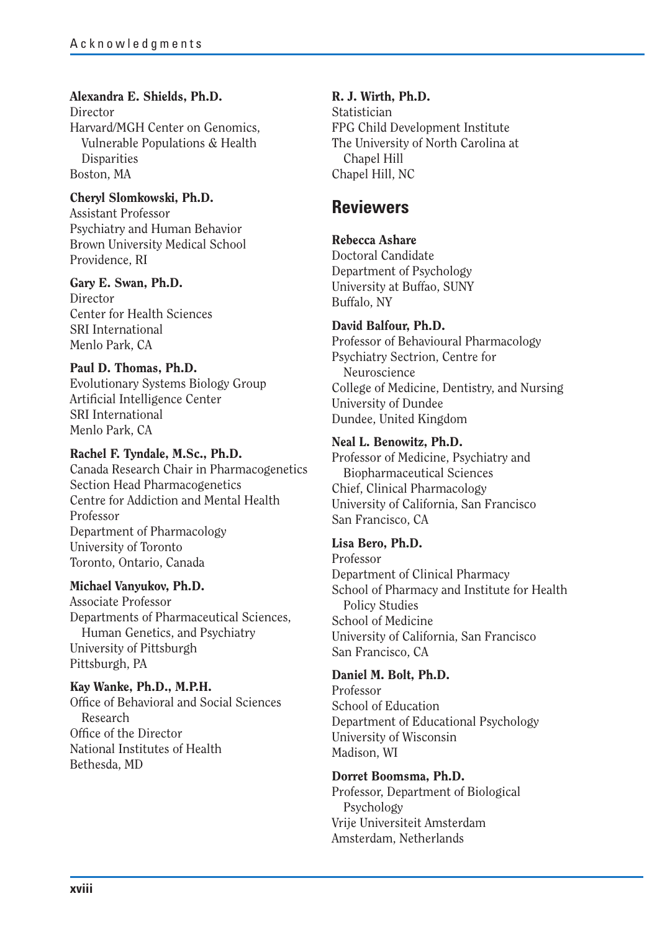### **Alexandra E. Shields, Ph.D.**

Director Harvard/MGH Center on Genomics, Vulnerable Populations & Health **Disparities** Boston, MA

#### **Cheryl Slomkowski, Ph.D.**

Assistant Professor Psychiatry and Human Behavior Brown University Medical School Providence, RI

#### **Gary E. Swan, Ph.D.**

**Director** Center for Health Sciences SRI International Menlo Park, CA

#### **Paul D. Thomas, Ph.D.**

Evolutionary Systems Biology Group Artificial Intelligence Center SRI International Menlo Park, CA

#### **Rachel F. Tyndale, M.Sc., Ph.D.**

Canada Research Chair in Pharmacogenetics Section Head Pharmacogenetics Centre for Addiction and Mental Health Professor Department of Pharmacology University of Toronto Toronto, Ontario, Canada

#### **Michael Vanyukov, Ph.D.**

Associate Professor Departments of Pharmaceutical Sciences, Human Genetics, and Psychiatry University of Pittsburgh Pittsburgh, PA

# **Kay Wanke, Ph.D., M.P.H.**

Office of Behavioral and Social Sciences Research Office of the Director National Institutes of Health Bethesda, MD

### **R. J. Wirth, Ph.D.**

Statistician FPG Child Development Institute The University of North Carolina at Chapel Hill Chapel Hill, NC

# **Reviewers**

#### **Rebecca Ashare**

Doctoral Candidate Department of Psychology University at Buffao, SUNY Buffalo, NY

#### **David Balfour, Ph.D.**

Professor of Behavioural Pharmacology Psychiatry Sectrion, Centre for Neuroscience College of Medicine, Dentistry, and Nursing University of Dundee Dundee, United Kingdom

#### **Neal L. Benowitz, Ph.D.**

Professor of Medicine, Psychiatry and Biopharmaceutical Sciences Chief, Clinical Pharmacology University of California, San Francisco San Francisco, CA

#### **Lisa Bero, Ph.D.**

Professor Department of Clinical Pharmacy School of Pharmacy and Institute for Health Policy Studies School of Medicine University of California, San Francisco San Francisco, CA

#### **Daniel M. Bolt, Ph.D.**

Professor School of Education Department of Educational Psychology University of Wisconsin Madison, WI

#### **Dorret Boomsma, Ph.D.**

Professor, Department of Biological Psychology Vrije Universiteit Amsterdam Amsterdam, Netherlands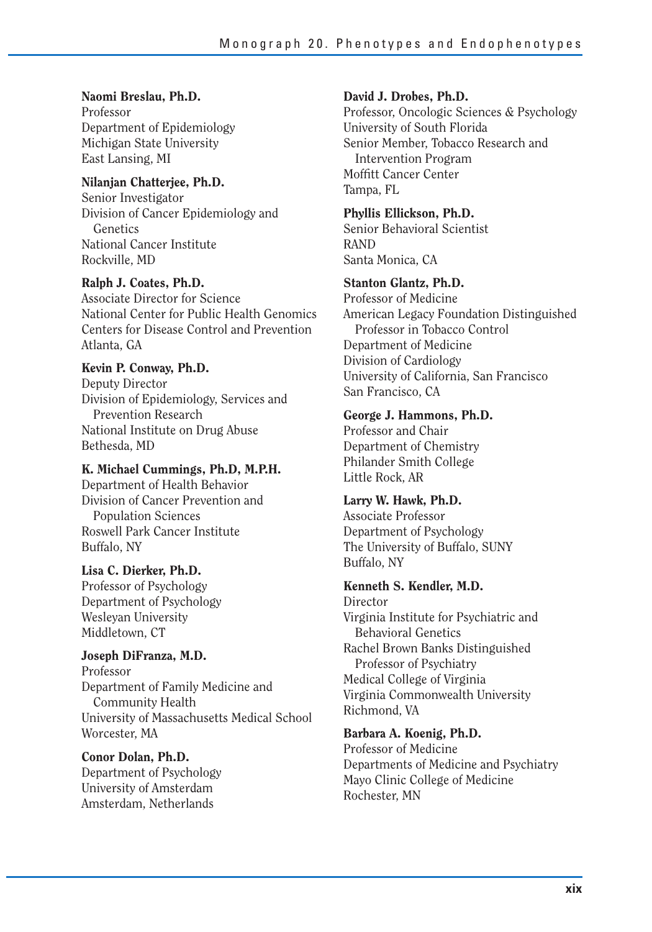# **Naomi Breslau, Ph.D.**

Professor Department of Epidemiology Michigan State University East Lansing, MI

#### **Nilanjan Chatterjee, Ph.D.**

Senior Investigator Division of Cancer Epidemiology and **Genetics** National Cancer Institute Rockville, MD

**Ralph J. Coates, Ph.D.**  Associate Director for Science National Center for Public Health Genomics

Centers for Disease Control and Prevention Atlanta, GA

#### **Kevin P. Conway, Ph.D.**

Deputy Director Division of Epidemiology, Services and Prevention Research National Institute on Drug Abuse Bethesda, MD

**K. Michael Cummings, Ph.D, M.P.H.** 

Department of Health Behavior Division of Cancer Prevention and Population Sciences Roswell Park Cancer Institute Buffalo, NY

#### **Lisa C. Dierker, Ph.D.**

Professor of Psychology Department of Psychology Wesleyan University Middletown, CT

#### **Joseph DiFranza, M.D.**

Professor Department of Family Medicine and Community Health University of Massachusetts Medical School Worcester, MA

**Conor Dolan, Ph.D.**  Department of Psychology University of Amsterdam Amsterdam, Netherlands

#### **David J. Drobes, Ph.D.**

Professor, Oncologic Sciences & Psychology University of South Florida Senior Member, Tobacco Research and Intervention Program Moffitt Cancer Center Tampa, FL

# **Phyllis Ellickson, Ph.D.**

Senior Behavioral Scientist RAND Santa Monica, CA

#### **Stanton Glantz, Ph.D.**

Professor of Medicine American Legacy Foundation Distinguished Professor in Tobacco Control Department of Medicine Division of Cardiology University of California, San Francisco San Francisco, CA

#### **George J. Hammons, Ph.D.**

Professor and Chair Department of Chemistry Philander Smith College Little Rock, AR

#### **Larry W. Hawk, Ph.D.**

Associate Professor Department of Psychology The University of Buffalo, SUNY Buffalo, NY

# **Kenneth S. Kendler, M.D.**

Director Virginia Institute for Psychiatric and Behavioral Genetics Rachel Brown Banks Distinguished Professor of Psychiatry Medical College of Virginia Virginia Commonwealth University Richmond, VA

#### **Barbara A. Koenig, Ph.D.**

Professor of Medicine Departments of Medicine and Psychiatry Mayo Clinic College of Medicine Rochester, MN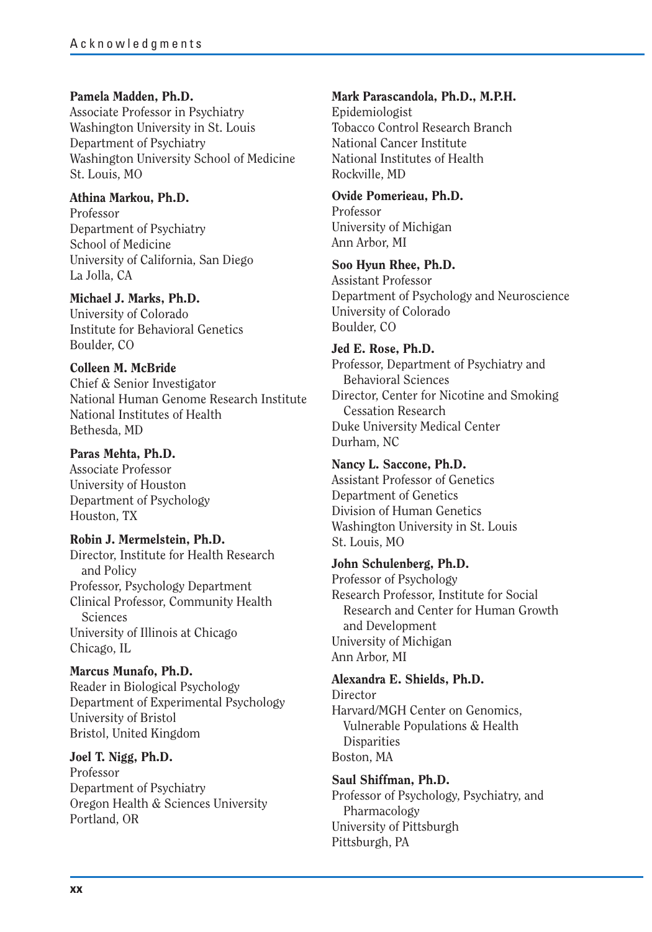#### **Pamela Madden, Ph.D.**

Associate Professor in Psychiatry Washington University in St. Louis Department of Psychiatry Washington University School of Medicine St. Louis, MO

#### **Athina Markou, Ph.D.**

Professor Department of Psychiatry School of Medicine University of California, San Diego La Jolla, CA

#### **Michael J. Marks, Ph.D.**

University of Colorado Institute for Behavioral Genetics Boulder, CO

#### **Colleen M. McBride**

Chief & Senior Investigator National Human Genome Research Institute National Institutes of Health Bethesda, MD

#### **Paras Mehta, Ph.D.**

Associate Professor University of Houston Department of Psychology Houston, TX

**Robin J. Mermelstein, Ph.D.**  Director, Institute for Health Research and Policy Professor, Psychology Department Clinical Professor, Community Health Sciences University of Illinois at Chicago Chicago, IL

# **Marcus Munafo, Ph.D.**

Reader in Biological Psychology Department of Experimental Psychology University of Bristol Bristol, United Kingdom

**Joel T. Nigg, Ph.D.**  Professor Department of Psychiatry Oregon Health & Sciences University Portland, OR

#### **Mark Parascandola, Ph.D., M.P.H.**

Epidemiologist Tobacco Control Research Branch National Cancer Institute National Institutes of Health Rockville, MD

# **Ovide Pomerieau, Ph.D.**

Professor University of Michigan Ann Arbor, MI

#### **Soo Hyun Rhee, Ph.D.**

Assistant Professor Department of Psychology and Neuroscience University of Colorado Boulder, CO

#### **Jed E. Rose, Ph.D.**

Professor, Department of Psychiatry and Behavioral Sciences Director, Center for Nicotine and Smoking Cessation Research Duke University Medical Center Durham, NC

#### **Nancy L. Saccone, Ph.D.**  Assistant Professor of Genetics Department of Genetics Division of Human Genetics Washington University in St. Louis St. Louis, MO

### **John Schulenberg, Ph.D.**

Professor of Psychology Research Professor, Institute for Social Research and Center for Human Growth and Development University of Michigan Ann Arbor, MI

**Alexandra E. Shields, Ph.D. Director** Harvard/MGH Center on Genomics, Vulnerable Populations & Health **Disparities** 

Boston, MA

#### **Saul Shiffman, Ph.D.**  Professor of Psychology, Psychiatry, and Pharmacology University of Pittsburgh Pittsburgh, PA